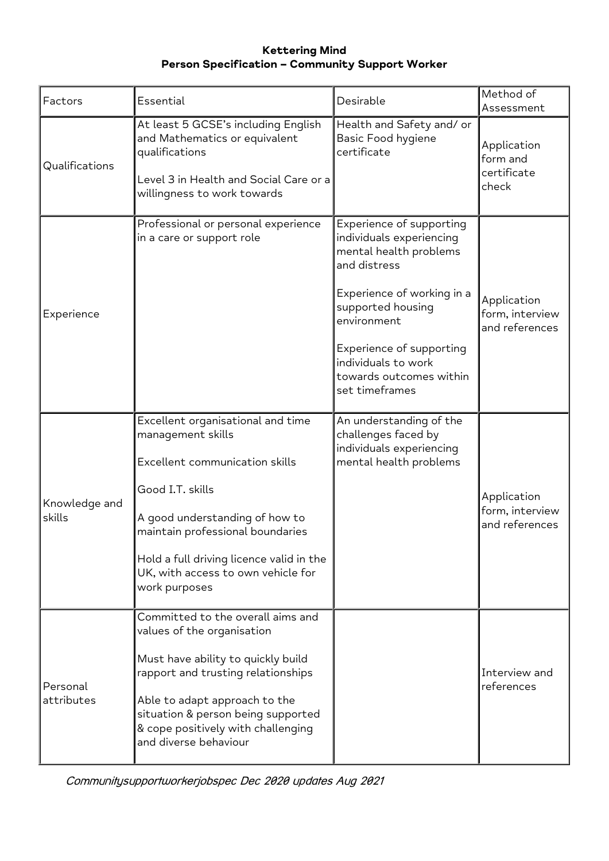## **Kettering Mind Person Specification – Community Support Worker**

| Factors                 | Essential                                                                                                                                                                                                                                                                             | Desirable                                                                                                                                                                                                                                                        | Method of<br>Assessment                          |
|-------------------------|---------------------------------------------------------------------------------------------------------------------------------------------------------------------------------------------------------------------------------------------------------------------------------------|------------------------------------------------------------------------------------------------------------------------------------------------------------------------------------------------------------------------------------------------------------------|--------------------------------------------------|
| Qualifications          | At least 5 GCSE's including English<br>and Mathematics or equivalent<br>qualifications<br>Level 3 in Health and Social Care or a<br>willingness to work towards                                                                                                                       | Health and Safety and/ or<br>Basic Food hygiene<br>certificate                                                                                                                                                                                                   | Application<br>form and<br>certificate<br>check  |
| Experience              | Professional or personal experience<br>in a care or support role                                                                                                                                                                                                                      | Experience of supporting<br>individuals experiencing<br>mental health problems<br>and distress<br>Experience of working in a<br>supported housing<br>environment<br>Experience of supporting<br>individuals to work<br>towards outcomes within<br>set timeframes | Application<br>form, interview<br>and references |
| Knowledge and<br>skills | Excellent organisational and time<br>management skills<br>Excellent communication skills<br>Good I.T. skills<br>A good understanding of how to<br>maintain professional boundaries<br>Hold a full driving licence valid in the<br>UK, with access to own vehicle for<br>work purposes | An understanding of the<br>challenges faced by<br>individuals experiencing<br>mental health problems                                                                                                                                                             | Application<br>form, interview<br>and references |
| Personal<br>attributes  | Committed to the overall aims and<br>values of the organisation<br>Must have ability to quickly build<br>rapport and trusting relationships<br>Able to adapt approach to the<br>situation & person being supported<br>& cope positively with challenging<br>and diverse behaviour     |                                                                                                                                                                                                                                                                  | Interview and<br>references                      |

Communitysupportworkerjobspec Dec 2020 updates Aug 2021